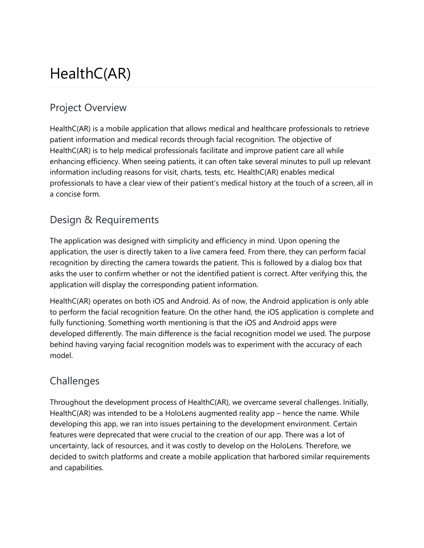# HealthC(AR)

### Project Overview

HealthC(AR) is a mobile application that allows medical and healthcare professionals to retrieve patient information and medical records through facial recognition. The objective of HealthC(AR) is to help medical professionals facilitate and improve patient care all while enhancing efficiency. When seeing patients, it can often take several minutes to pull up relevant information including reasons for visit, charts, tests, etc. HealthC(AR) enables medical professionals to have a clear view of their patient's medical history at the touch of a screen, all in a concise form.

#### Design & Requirements

The application was designed with simplicity and efficiency in mind. Upon opening the application, the user is directly taken to a live camera feed. From there, they can perform facial recognition by directing the camera towards the patient. This is followed by a dialog box that asks the user to confirm whether or not the identified patient is correct. After verifying this, the application will display the corresponding patient information.

HealthC(AR) operates on both iOS and Android. As of now, the Android application is only able to perform the facial recognition feature. On the other hand, the iOS application is complete and fully functioning. Something worth mentioning is that the iOS and Android apps were developed differently. The main difference is the facial recognition model we used. The purpose behind having varying facial recognition models was to experiment with the accuracy of each model.

#### **Challenges**

Throughout the development process of HealthC(AR), we overcame several challenges. Initially, HealthC(AR) was intended to be a HoloLens augmented reality app – hence the name. While developing this app, we ran into issues pertaining to the development environment. Certain features were deprecated that were crucial to the creation of our app. There was a lot of uncertainty, lack of resources, and it was costly to develop on the HoloLens. Therefore, we decided to switch platforms and create a mobile application that harbored similar requirements and capabilities.